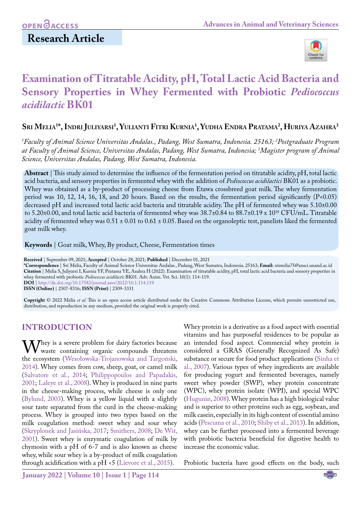**Research Article**

# **Examination of Titratable Acidity, pH, Total Lactic Acid Bacteria and Sensory Properties in Whey Fermented with Probiotic** *Pediococcus acidilactic* **BK01**

# **Sri Melia1 \*, Indri Juliyarsi 1 , Yulianti Fitri Kurnia1 , Yudha Endra Pratama2 , Huriya Azahra3**

*1 Faculty of Animal Science Universitas Andalas., Padang, West Sumatra, Indonesia. 25163; 2 Postgraduate Program at Faculty of Animal Science, Universitas Andalas, Padang, West Sumatra, Indonesia; 3 Magister program of Animal Science, Universitas Andalas, Padang, West Sumatra, Indonesia.*

**Abstract** | This study aimed to determine the influence of the fermentation period on titratable acidity, pH, total lactic acid bacteria, and sensory properties in fermented whey with the addition of *Pediococcus acidilactici* BK01 as a probiotic. Whey was obtained as a by-product of processing cheese from Etawa crossbreed goat milk. The whey fermentation period was 10, 12, 14, 16, 18, and 20 hours. Based on the results, the fermentation period significantly (P<0.05) decreased pH and increased total lactic acid bacteria and titratable acidity. The pH of fermented whey was 5.10±0.00 to 5.20±0.00, and total lactic acid bacteria of fermented whey was 38.7±0.84 to 88.7±0.19 x 1010 CFU/mL. Titratable acidity of fermented whey was  $0.51 \pm 0.01$  to  $0.61 \pm 0.05$ . Based on the organoleptic test, panelists liked the fermented goat milk whey.

**Keywords** | Goat milk, Whey, By product, Cheese, Fermentation times

**Received** | September 09, 2021; **Accepted** | October 28, 2021; **Published** | December 01, 2021

**\*Correspondence** | Sri Melia, Faculty of Animal Science Universitas Andalas., Padang, West Sumatra, Indonesia. 25163; **Email:** srimelia75@ansci.unand.ac.id **Citation** | Melia S, Juliyarsi I, Kurnia YF, Pratama YE, Azahra H (2022). Examination of titratable acidity, pH, total lactic acid bacteria and sensory properties in whey fermented with probiotic *Pediococcus acidilactic* BK01. Adv. Anim. Vet. Sci. 10(1): 114-119. **DOI** |<http://dx.doi.org/10.17582/journal.aavs/2022/10.1.114.119>

**ISSN (Online)** | 2307-8316; **ISSN (Print)** | 2309-3331

**Copyright** © 2022 Melia *et al*. This is an open access article distributed under the Creative Commons Attribution License, which permits unrestricted use, distribution, and reproduction in any medium, provided the original work is properly cited.

### **INTRODUCTION**

 $\mathbf{W}$ hey is a severe problem for dairy factories because waste containing organic compounds threatens the ecosystem (Wesołowska-Trojanowska and Targoński, 2014). Whey comes from cow, sheep, goat, or camel milk ([Salvatore et al., 2014](#page-4-0); [Philippopoulos and Papadakis,](#page-4-1) [2001](#page-4-1); [Laleye et al., 2008\)](#page-4-2). Whey is produced in nine parts in the cheese-making process, while cheese is only one ([Bylund, 2003](#page-3-0)). Whey is a yellow liquid with a slightly sour taste separated from the curd in the cheese-making process. Whey is grouped into two types based on the milk coagulation method: sweet whey and sour whey (Skryplonek and Jasińska, 2017; [Smithers, 2008;](#page-5-0) [De Wit,](#page-4-3) [2001](#page-4-3)). Sweet whey is enzymatic coagulation of milk by chymosin with a pH of 6-7 and is also known as cheese whey, while sour whey is a by-product of milk coagulation through acidification with a pH <5 [\(Lievore et al., 2015\)](#page-4-4).

Whey protein is a derivative as a food aspect with essential vitamins and has purposeful residences to be popular as an intended food aspect. Commercial whey protein is considered a GRAS (Generally Recognized As Safe) substance or secure for food product applications ([Sinha et](#page-4-5) [al., 2007](#page-4-5)). Various types of whey ingredients are available for producing yogurt and fermented beverages, namely sweet whey powder (SWP), whey protein concentrate (WPC), whey protein isolate (WPI), and special WPC ([Hugunin, 2008\)](#page-4-6). Whey protein has a high biological value and is superior to other proteins such as egg, soybean, and milk casein, especially in its high content of essential amino acids (Pescuma et al., 2010; [Shiby et al., 2013\)](#page-4-7). In addition, whey can be further processed into a fermented beverage with probiotic bacteria beneficial for digestive health to increase the economic value.

Probiotic bacteria have good effects on the body, such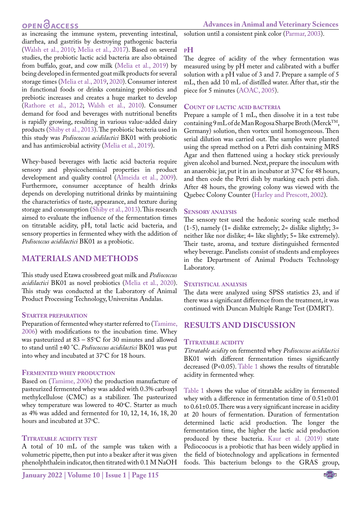# **OPEN**<sub>d</sub>

as increasing the immune system, preventing intestinal, diarrhea, and gastritis by destroying pathogenic bacteria ([Walsh et al., 2010;](#page-5-1) [Melia et al., 2017\)](#page-4-8). Based on several studies, the probiotic lactic acid bacteria are also obtained from buffalo, goat, and cow milk [\(Melia et al., 2019\)](#page-4-9) by being developed in fermented goat milk products for several storage times ([Melia et al., 2019,](#page-4-9) [2020](#page-4-10)). Consumer interest in functional foods or drinks containing probiotics and prebiotic increases and creates a huge market to develop (Rathore et al., 2012; [Walsh et al., 2010\)](#page-5-1). Consumer demand for food and beverages with nutritional benefits is rapidly growing, resulting in various value-added dairy products [\(Shiby et al., 2013](#page-4-7)). The probiotic bacteria used in this study was *Pediococcus acidilactici* BK01 with probiotic and has antimicrobial activity ([Melia et al., 2019\)](#page-4-9).

Whey-based beverages with lactic acid bacteria require sensory and physicochemical properties in product development and quality control [\(Almeida et al., 2009](#page-3-1)). Furthermore, consumer acceptance of health drinks depends on developing nutritional drinks by maintaining the characteristics of taste, appearance, and texture during storage and consumption [\(Shiby et al., 2013](#page-4-7)). This research aimed to evaluate the influence of the fermentation times on titratable acidity, pH, total lactic acid bacteria, and sensory properties in fermented whey with the addition of *Pediococcus acidilactici* BK01 as a probiotic.

#### **MATERIALS AND METHODS**

This study used Etawa crossbreed goat milk and *Pediococcus acidilactici* BK01 as novel probiotics ([Melia et al., 2020](#page-4-10)). This study was conducted at the Laboratory of Animal Product Processing Technology, Universitas Andalas.

#### **Starter preparation**

Preparation of fermented whey starter referred to [\(Tamime,](#page-5-2)  [2006](#page-5-2)) with modifications to the incubation time. Whey was pasteurized at  $83-85^{\circ}$ C for 30 minutes and allowed to stand until ±40 °C. *Pediococcus acidilactici* BK01 was put into whey and incubated at  $37^{\circ}$ C for 18 hours.

#### **Fermented whey production**

Based on [\(Tamime, 2006](#page-5-2)) the production manufacture of pasteurized fermented whey was added with 0.3% carboxyl methylcellulose (CMC) as a stabilizer. The pasteurized whey temperature was lowered to 40°C. Starter as much as 4% was added and fermented for 10, 12, 14, 16, 18, 20 hours and incubated at  $37^{\circ}$ C.

#### **Titratable acidity test**

A total of 10 mL of the sample was taken with a volumetric pipette, then put into a beaker after it was given phenolphthalein indicator, then titrated with 0.1 M NaOH solution until a consistent pink color ([Parmar, 2003\)](#page-4-11).

#### **pH**

The degree of acidity of the whey fermentation was measured using by pH meter and calibrated with a buffer solution with a pH value of 3 and 7. Prepare a sample of 5 mL, then add 10 mL of distilled water. After that, stir the piece for 5 minutes [\(AOAC, 2005](#page-3-2)).

#### **Count of lactic acid bacteria**

Prepare a sample of 1 mL, then dissolve it in a test tube containing 9 mL of de Man Rogosa Sharpe Broth (MerckTM, Germany) solution, then vortex until homogeneous. Then serial dilution was carried out. The samples were planted using the spread method on a Petri dish containing MRS Agar and then flattened using a hockey stick previously given alcohol and burned. Next, prepare the inoculum with an anaerobic jar, put it in an incubator at 37°C for 48 hours, and then code the Petri dish by marking each petri dish. After 48 hours, the growing colony was viewed with the Quebec Colony Counter [\(Harley and Prescott, 2002](#page-4-12)).

#### **Sensory analysis**

The sensory test used the hedonic scoring scale method (1-5), namely (1= dislike extremely; 2= dislike slightly; 3= neither like nor dislike; 4= like slightly; 5= like extremely). Their taste, aroma, and texture distinguished fermented whey beverage. Panelists consist of students and employees in the Department of Animal Products Technology Laboratory.

#### **Statistical analysis**

The data were analyzed using SPSS statistics 23, and if there was a significant difference from the treatment, it was continued with Duncan Multiple Range Test (DMRT).

### **RESULTS AND DISCUSSION**

#### **Titratable acidity**

*Titratable acidity* on fermented whey *Pediococcus acidilactici* BK01 with different fermentation times significantly decreased (P<0.05). [Table 1](#page-2-0) shows the results of titratable acidity in fermented whey.

[Table 1](#page-2-0) shows the value of titratable acidity in fermented whey with a difference in fermentation time of 0.51±0.01 to 0.61±0.05. There was a very significant increase in acidity at 20 hours of fermentation. Duration of fermentation determined lactic acid production. The longer the fermentation time, the higher the lactic acid production produced by these bacteria. [Kaur et al. \(2019\)](#page-4-13) state Pediocoocus is a probiotic that has been widely applied in the field of biotechnology and applications in fermented foods. This bacterium belongs to the GRAS group,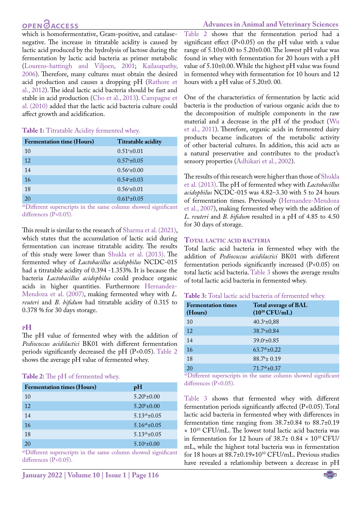# OPEN **OACCESS**

#### **Advances in Animal and Veterinary Sciences**

which is homofermentative, Gram-positive, and catalasenegative. The increase in titratable acidity is caused by lactic acid produced by the hydrolysis of lactose during the fermentation by lactic acid bacteria as primer metabolic [\(Lourens-hattingh and Viljoen, 2001;](#page-4-14) [Kailasapathy,](#page-4-15)  [2006\)](#page-4-15). Therefore, many cultures must obtain the desired acid production and causes a dropping pH (Rathore et al., 2012). The ideal lactic acid bacteria should be fast and stable in acid production ([Cho et al., 2013](#page-4-16)). [Campagne et](#page-4-17)  [al. \(2010\)](#page-4-17) added that the lactic acid bacteria culture could affect growth and acidification.

#### <span id="page-2-0"></span>**Table 1:** Titratable Acidity fermented whey.

| <b>Fermentation time (Hours)</b> | Titratable acidity   |
|----------------------------------|----------------------|
| 10                               | $0.51^{\circ}$ ±0.01 |
| 12                               | $0.57^{\circ}$ ±0.05 |
| 14                               | $0.56^{\circ}$ ±0.00 |
| 16                               | $0.54^{\circ}$ ±0.03 |
| 18                               | $0.56^{\circ}$ ±0.01 |
| 20                               | $0.61b \pm 0.05$     |

abDifferent superscripts in the same column showed significant differences (P<0.05).

This result is similar to the research of [Sharma et al. \(2021\),](#page-4-18) which states that the accumulation of lactic acid during fermentation can increase titratable acidity. The results of this study were lower than [Shukla et al. \(2013\).](#page-4-19) The fermented whey of *Lactobacillus acidophilus* NCDC-015 had a titratable acidity of 0.394 -1.353%. It is because the bacteria *Lactobacillus acidophilus* could produce organic acids in higher quantities. Furthermore [Hernandez-](#page-4-20)[Mendoza et al. \(2007\),](#page-4-20) making fermented whey with *L. reuteri* and *B. bifidum* had titratable acidity of 0.315 to 0.378 % for 30 days storage.

#### **pH**

The pH value of fermented whey with the addition of *Pediococcus acidilactici* BK01 with different fermentation periods significantly decreased the pH (P<0.05). [Table 2](#page-2-1) shows the average pH value of fermented whey.

#### <span id="page-2-1"></span>**Table 2:** The pH of fermented whey.

| <b>Fermentation times (Hours)</b> | pH                   |
|-----------------------------------|----------------------|
| 10                                | $5.20^{b} \pm 0.00$  |
| 12                                | $5.20^{b} \pm 0.00$  |
| 14                                | $5.13^{ab} \pm 0.05$ |
| 16                                | $5.16^{ab} \pm 0.05$ |
| 18                                | $5.13^{ab} \pm 0.05$ |
| 20                                | $5.10^{\circ}$ ±0.00 |

abDifferent superscripts in the same column showed significant differences (P<0.05).

[Table 2](#page-2-1) shows that the fermentation period had a significant effect  $(P<0.05)$  on the pH value with a value range of 5.10±0.00 to 5.20±0.00. The lowest pH value was found in whey with fermentation for 20 hours with a pH value of 5.10±0.00. While the highest pH value was found in fermented whey with fermentation for 10 hours and 12 hours with a pH value of 5.20±0. 00.

One of the characteristics of fermentation by lactic acid bacteria is the production of various organic acids due to the decomposition of multiple components in the raw material and a decrease in the pH of the product ([Wu](#page-5-3)  [et al., 2011\)](#page-5-3). Therefore, organic acids in fermented dairy products became indicators of the metabolic activity of other bacterial cultures. In addition, this acid acts as a natural preservative and contributes to the product's sensory properties (Adhikari et al., 2002).

The results of this research were higher than those of [Shukla](#page-4-19)  [et al. \(2013\)](#page-4-19). The pH of fermented whey with *Lactobacillus acidophilus* NCDC-015 was 4.82–3.30 with 5 to 24 hours of fermentation times. Previously ([Hernandez-Mendoza](#page-4-20)  [et al., 2007](#page-4-20)), making fermented whey with the addition of *L. reuteri* and *B. bifidum* resulted in a pH of 4.85 to 4.50 for 30 days of storage.

#### **Total lactic acid bacteria**

Total lactic acid bacteria in fermented whey with the addition of *Pediococcus acidilactici* BK01 with different fermentation periods significantly increased (P<0.05) on total lactic acid bacteria. [Table 3](#page-2-2) shows the average results of total lactic acid bacteria in fermented whey.

#### <span id="page-2-2"></span>**Table 3:** Total lactic acid bacteria of fermented whey.

| <b>Fermentation times</b><br>(Hours) | <b>Total average of BAL</b><br>$(10^{10} CFU/mL)$ |
|--------------------------------------|---------------------------------------------------|
| 10                                   | $40.3a_{\pm}0,88$                                 |
| 12                                   | $38.7^{\circ}$ ±0.84                              |
| 14                                   | $39.0^{\circ}$ ±0.85                              |
| 16                                   | $63.7^{ab}$ ±0.22                                 |
| 18                                   | $88.7^b \pm 0.19$                                 |
| 20                                   | $71.7^{ab} \pm 0.37$                              |

abDifferent superscripts in the same column showed significant differences (P<0.05).

[Table 3](#page-2-2) shows that fermented whey with different fermentation periods significantly affected (P<0.05). Total lactic acid bacteria in fermented whey with differences in fermentation time ranging from 38.7±0.84 to 88.7±0.19  $\times$  10<sup>10</sup> CFU/mL. The lowest total lactic acid bacteria was in fermentation for 12 hours of  $38.7\pm0.84 \times 10^{10}$  CFU/ mL, while the highest total bacteria was in fermentation for 18 hours at 88.7±0.19×1010 CFU/mL. Previous studies have revealed a relationship between a decrease in pH

NE**X**US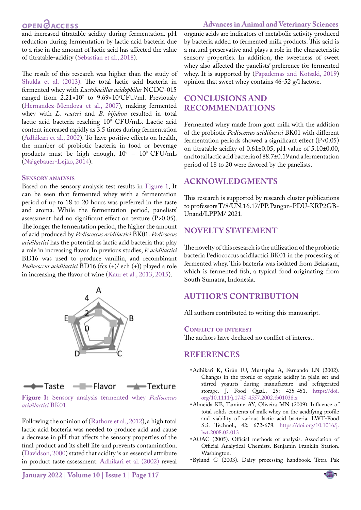## **OPEN GACCESS**

**Advances in Animal and Veterinary Sciences**

and increased titratable acidity during fermentation. pH reduction during fermentation by lactic acid bacteria due to a rise in the amount of lactic acid has affected the value of titratable-acidity ([Sebastian et al., 2018](#page-4-21)).

The result of this research was higher than the study of [Shukla et al. \(2013\)](#page-4-19). The total lactic acid bacteria in fermented whey with *Lactobacillus acidophilus* NCDC-015 ranged from 2.21×107 to 9.69×108 CFU/ml. Previously ([Hernandez-Mendoza et al., 2007\)](#page-4-20), making fermented whey with *L. reuteri* and *B. bifidum* resulted in total lactic acid bacteria reaching 108 CFU/mL. Lactic acid content increased rapidly as 3.5 times during fermentation (Adhikari et al., 2002). To have positive effects on health, the number of probiotic bacteria in food or beverage products must be high enough,  $10^6 - 10^8$  CFU/mL ([Najgebauer-Lejko, 2014\)](#page-4-22).

#### **Sensory analysis**

Based on the sensory analysis test results in [Figure 1,](#page-3-3) It can be seen that fermented whey with a fermentation period of up to 18 to 20 hours was preferred in the taste and aroma. While the fermentation period, panelists' assessment had no significant effect on texture (P>0.05). The longer the fermentation period, the higher the amount of acid produced by *Pediococcus acidilactici* BK01. *Pedicoocus acidilactici* has the potential as lactic acid bacteria that play a role in increasing flavor. In previous studies, *P. acidilactici* BD16 was used to produce vanillin, and recombinant *Pediococcus acidilactici* BD16 (fcs (+)/ ech (+)) played a role in increasing the flavor of wine [\(Kaur et al., 2013](#page-4-23), [2015\)](#page-4-24).





<span id="page-3-3"></span>**Figure 1:** Sensory analysis fermented whey *Pediococcus acidilactici* BK01.

Following the opinion of (Rathore et al., 2012), a high total lactic acid bacteria was needed to produce acid and cause a decrease in pH that affects the sensory properties of the final product and its shelf life and prevents contamination. ([Davidson, 2000](#page-4-25)) stated that acidity is an essential attribute in product taste assessment. Adhikari et al. (2002) reveal

organic acids are indicators of metabolic activity produced by bacteria added to fermented milk products. This acid is a natural preservative and plays a role in the characteristic sensory properties. In addition, the sweetness of sweet whey also affected the panelists' preference for fermented whey. It is supported by [\(Papademas and Kotsaki, 2019\)](#page-4-26) opinion that sweet whey contains 46-52 g/l lactose.

### **CONCLUSIONS AND RECOMMENDATIONS**

Fermented whey made from goat milk with the addition of the probiotic *Pediococcus acidilactici* BK01 with different fermentation periods showed a significant effect  $(P<0.05)$ on titratable acidity of 0.61±0.05, pH value of 5.10±0.00, and total lactic acid bacteria of 88.7±0.19 and a fermentation period of 18 to 20 were favored by the panelists.

#### **ACKNOWLEDGMENTS**

This research is supported by research cluster publications to professors T/8/UN.16.17/PP. Pangan-PDU-KRP2GB-Unand/LPPM/ 2021.

### **Novelty Statement**

The novelty of this research is the utilization of the probiotic bacteria Pediococcus acidilactici BK01 in the processing of fermented whey. This bacteria was isolated from Bekasam, which is fermented fish, a typical food originating from South Sumatra, Indonesia.

### **AUTHOR'S CONTRIBUTION**

All authors contributed to writing this manuscript.

#### **Conflict of interest**

The authors have declared no conflict of interest.

#### **REFERENCES**

- • Adhikari K, Grûn IU, Mustapha A, Fernando LN (2002). Changes in the profile of organic acidity in plain set and stirred yogurts during manufacture and refrigerated storage. J. Food Qual., 25: 435-451. [https://doi.](https://doi.org/10.1111/j.1745-4557.2002.tb01038.x) [org/10.1111/j.1745-4557.2002.tb01038.x](https://doi.org/10.1111/j.1745-4557.2002.tb01038.x)
- <span id="page-3-1"></span>• Almeida KE, Tamime AY, Oliveira MN (2009). Influence of total solids contents of milk whey on the acidifying profile and viability of various lactic acid bacteria. LWT-Food Sci. Technol., 42: 672-678. [https://doi.org/10.1016/j.](https://doi.org/10.1016/j.lwt.2008.03.013) [lwt.2008.03.013](https://doi.org/10.1016/j.lwt.2008.03.013)
- <span id="page-3-2"></span>• AOAC (2005). Official methods of analysis. Association of Official Analytical Chemists. Benjamin Franklin Station. Washington.
- <span id="page-3-0"></span>• Bylund G (2003). Dairy processing handbook. Tetra Pak

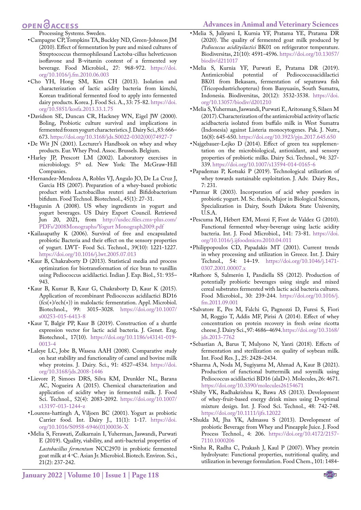#### <span id="page-4-10"></span>**Advances in Animal and Veterinary Sciences**

# **OPEN**<sub>d</sub>

<span id="page-4-17"></span>Processing Systems. Sweden.

- • Campagne CP, Tompkins TA, Buckley ND, Green-Johnson JM (2010). Effect of fermentation by pure and mixed cultures of Streptococcus thermophilesand Lactoba-cillus helveticuson isoflavone and B-vitamin content of a fermented soy beverage*.* Food Microbiol., 27: 968-972. [https://doi.](https://doi.org/10.1016/j.fm.2010.06.003) [org/10.1016/j.fm.2010.06.003](https://doi.org/10.1016/j.fm.2010.06.003)
- <span id="page-4-16"></span>• Cho YH, Hong SM, Kim CH (2013). Isolation and characterization of lactic acidity bacteria from kimchi, Korean traditional fermented food to apply into fermented dairy products. Korea. J. Food Sci. A., 33: 75-82. [https://doi.](https://doi.org/10.5851/kosfa.2013.33.1.75) [org/10.5851/kosfa.2013.33.1.75](https://doi.org/10.5851/kosfa.2013.33.1.75)
- <span id="page-4-25"></span>• Davidson SE, Duncan CR, Hackney WN, Eigel JW (2000). Boling, Probiotic culture survival and implications in fermented frozen yogurt characteristics. J. Dairy Sci., 83: 666– 673. [https://doi.org/10.3168/jds.S0022-0302\(00\)74927-7](https://doi.org/10.3168/jds.S0022-0302(00)74927-7)
- <span id="page-4-3"></span>• De Wit JN (2001). Lecturer's Handbook on whey and whey products. Eur. Whey Prod. Assoc. Brussels. Belgium.
- <span id="page-4-12"></span>• Harley JP, Prescott LM (2002). Laboratory exercises in microbiology. 5<sup>th</sup> ed. New York: The McGraw-Hill Companies.
- <span id="page-4-20"></span>• Hernandez-Mendoza A, Robles VJ, Angulo JO, De La Cruz J, Garcia HS (2007). Preparation of a whey-based probiotic product with Lactobacillus reuteri and Bifidobacterium bifidum. Food Technol. Biotechnol., 45(1): 27-31.
- <span id="page-4-6"></span>• Hugunin A (2008). US whey ingredients in yogurt and yogurt beverages. US Dairy Export Council. Retrieved Jun 20, 2021, from [http://usdec.files.cms-plus.com/](http://usdec.files.cms-plus.com/PDFs/2008Monographs/Yogurt Monograph2009.pdf) [PDFs/2008Monographs/Yogurt Monograph2009.pdf](http://usdec.files.cms-plus.com/PDFs/2008Monographs/Yogurt Monograph2009.pdf)
- <span id="page-4-15"></span>• Kailasapathy K (2006). Survival of free and encapsulated probiotic Bacteria and their effect on the sensory properties of yogurt. LWT- Food Sci. Technol., 39(10): 1221-1227. <https://doi.org/10.1016/j.lwt.2005.07.013>
- <span id="page-4-23"></span>• Kaur B, Chakraborty D (2013). Statistical media and process optimization for biotransformation of rice bran to vanillin using Pediococcus acidilactici. Indian J. Exp. Biol., 51: 935– 943.
- <span id="page-4-24"></span>• Kaur B, Kumar B, Kaur G, Chakraborty D, Kaur K (2015). Application of recombinant Pediococcus acidilactici BD16 (fcs(+)/ech(+)) in malolactic fermentation. Appl. Microbiol. Biotechnol., 99: 3015–3028. [https://doi.org/10.1007/](https://doi.org/10.1007/s00253-015-6413-8) [s00253-015-6413-8](https://doi.org/10.1007/s00253-015-6413-8)
- <span id="page-4-13"></span>• Kaur T, Balgir PP, Kaur B (2019). Construction of a shuttle expression vector for lactic acid bacteria. J. Genet. Eng. Biotechnol., 17(10). [https://doi.org/10.1186/s43141-019-](https://doi.org/10.1186/s43141-019-0013-4) [0013-4](https://doi.org/10.1186/s43141-019-0013-4)
- <span id="page-4-2"></span>• Laleye LC, Jobe B, Wasesa AAH (2008). Comparative study on heat stability and functionality of camel and bovine milk whey proteins. J. Dairy. Sci., 91: 4527–4534. [https://doi.](https://doi.org/10.3168/jds.2008-1446) [org/10.3168/jds.2008-1446](https://doi.org/10.3168/jds.2008-1446)
- <span id="page-4-4"></span>• Lievore P, Simoes DRS, Silva KM, Drunkler NL, Barana AC, Nogueira A (2015). Chemical characterization and application of acidity whey in fermented milk. J. Food Sci. Technol., 52(4): 2083-2092. [https://doi.org/10.1007/](https://doi.org/10.1007/s13197-013-1244-z) [s13197-013-1244-z](https://doi.org/10.1007/s13197-013-1244-z)
- <span id="page-4-14"></span>• Lourens-hattingh A, Viljoen BC (2001). Yogurt as probiotic Carrier food. Int. Dairy J., 11(1): 1-17. [https://doi.](https://doi.org/10.1016/S0958-6946(01)00036-X) [org/10.1016/S0958-6946\(01\)00036-X](https://doi.org/10.1016/S0958-6946(01)00036-X)
- <span id="page-4-9"></span>• Melia S, Ferawati, Zulkarnain I, Yuherman, Jaswandi, Purwati E (2019). Quality, viability, and anti-bacterial properties of *Lactobacillus fermentum* NCC2970 in probiotic fermented goat milk at 4 °C. Asian Jr. Microbiol. Biotech. Environ. Sci., 21(2): 237-242.
- • Melia S, Juliyarsi I, Kurnia YF, Pratama YE, Pratama DR (2020). The quality of fermented goat milk produced by *Pediococcus acidityilactici* BK01 on refrigerator temperature. Biodiversitas, 21(10): 4591-4596. [https://doi.org/10.13057/](https://doi.org/10.13057/biodiv/d211017) [biodiv/d211017](https://doi.org/10.13057/biodiv/d211017)
- • Melia S, Kurnia YF, Purwati E, Pratama DR (2019). Antimicrobial potential of Pediococcusacidilactici BK01 from Bekasam, fermentation of sepatrawa fish (Tricopodustrichopterus) from Banyuasin, South Sumatra, Indonesia. Biodiversitas, 20(12): 3532-3538. [https://doi.](https://doi.org/10.13057/biodiv/d201210) [org/10.13057/biodiv/d201210](https://doi.org/10.13057/biodiv/d201210)
- <span id="page-4-8"></span>• Melia S, Yuherman, Jaswandi, Purwati E, Aritonang S, Silaen M (2017). Characterization of the antimicrobial activity of lactic acidbacteria isolated from buffalo milk in West Sumatra (Indonesia) against Listeria monocytogenes. Pak. J. Nutr., 16(8): 645-650. <https://doi.org/10.3923/pjn.2017.645.650>
- <span id="page-4-22"></span>• Najgebauer-Lejko D (2014). Effect of green tea supplementation on the microbiological, antioxidant, and sensory properties of probiotic milks. Dairy Sci. Technol., 94: 327- 339.<https://doi.org/10.1007/s13594-014-0165-6>
- <span id="page-4-26"></span>• Papademas P, Kotsaki P (2019). Technological utilization of whey towards sustainable exploitation. J. Adv. Dairy Res., 7: 231.
- <span id="page-4-11"></span>• Parmar R (2003). Incorporation of acid whey powders in probiotic yogurt. M. Sc. thesis, Major in Biological Sciences, Specialization in Dairy, South Dakota State University, U.S.A.
- • Pescuma M, Hébert EM, Mozzi F, Font de Valdez G (2010). Functional fermented whey-beverage using lactic acidity bacteria. Int. J. Food Microbiol., 141: 73-81. [https://doi.](https://doi.org/10.1016/j.ijfoodmicro.2010.04.011) [org/10.1016/j.ijfoodmicro.2010.04.011](https://doi.org/10.1016/j.ijfoodmicro.2010.04.011)
- <span id="page-4-1"></span>• Philippopoulos CD, Papadakis MT (2001). Current trends in whey processing and utilization in Greece*.* Int. J. Dairy Technol., 54: 14–19. [https://doi.org/10.1046/j.1471-](https://doi.org/10.1046/j.1471-0307.2001.00007.x) [0307.2001.00007.x](https://doi.org/10.1046/j.1471-0307.2001.00007.x)
- • Rathore S, Salmerón I, Pandiella SS (2012). Production of potentially probiotic beverages using single and mixed cereal substrates fermented with lactic acid bacteria cultures. Food Microbiol., 30: 239-244. [https://doi.org/10.1016/j.](https://doi.org/10.1016/j.fm.2011.09.001) [fm.2011.09.001](https://doi.org/10.1016/j.fm.2011.09.001)
- <span id="page-4-0"></span>• Salvatore E, Pes M, Falchi G, Pagnozzi D, Furesi S, Fiori M, Roggio T, Addis MF, Pirisi A (2014). Effect of whey concentration on protein recovery in fresh ovine ricotta cheese. J. Dairy Sci., 97: 4686–4694. [https://doi.org/10.3168/](https://doi.org/10.3168/jds.2013-7762) [jds.2013-7762](https://doi.org/10.3168/jds.2013-7762)
- <span id="page-4-21"></span>• Sebastian A, Barus T, Mulyono N, Yanti (2018). Effects of fermentation and sterilization on quality of soybean milk. Int. Food Res. J., 25: 2428–2434.
- <span id="page-4-18"></span>• Sharma A, Noda M, Sugiyama M, Ahmad A, Kaur B (2021). Production of functional buttermilk and soymilk using Pediococcus acidilactici BD16 (alaD+). Molecules, 26: 4671. <https://doi.org/10.3390/molecules26154671>
- <span id="page-4-7"></span>• Shiby VK, Radhakrishna K, Bawa AS (2013). Development of whey-fruit-based energy drink mixes using D-optimal mixture design. Int. J. Food Sci. Technol., 48: 742-748. <https://doi.org/10.1111/ijfs.12022>
- <span id="page-4-19"></span>• Shukla M, Jha YK, Admassu S (2013). Development of probiotic Beverage from Whey and Pineapple Juice. J. Food Process Technol., 4: 206. [https://doi.org/10.4172/2157-](https://doi.org/10.4172/2157-7110.1000206) [7110.1000206](https://doi.org/10.4172/2157-7110.1000206)
- <span id="page-4-5"></span>• Sinha R, Radha C, Prakash J, Kaul P (2007). Whey protein hydrolysate: Functional properties, nutritional quality, and utilization in beverage formulation. Food Chem., 101: 1484-

**January 2022 | Volume 10 | Issue 1 | Page 118**